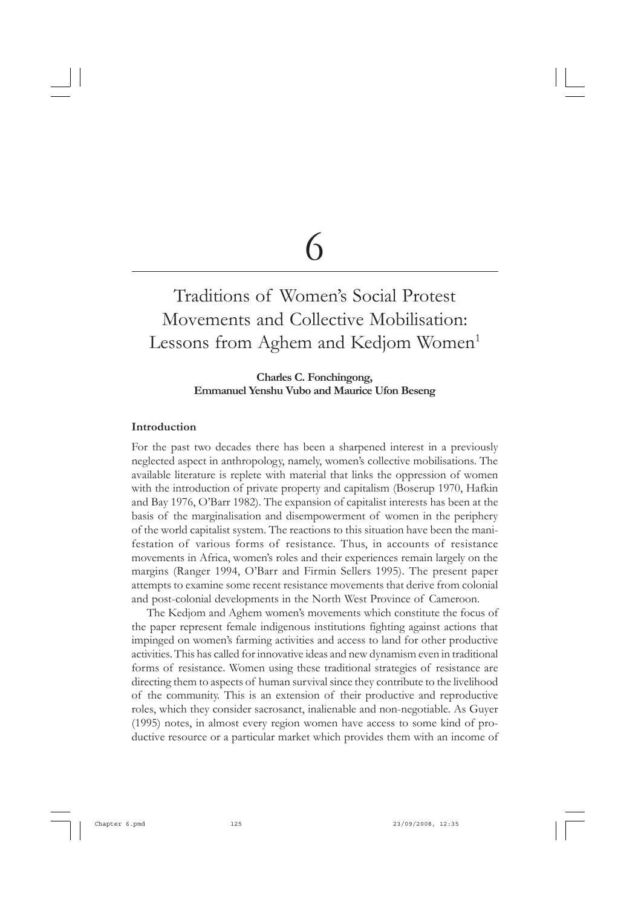# 6

## Traditions of Women's Social Protest Movements and Collective Mobilisation: Lessons from Aghem and Kedjom Women<sup>1</sup>

#### **Charles C. Fonchingong, Emmanuel Yenshu Vubo and Maurice Ufon Beseng**

#### **Introduction**

For the past two decades there has been a sharpened interest in a previously neglected aspect in anthropology, namely, women's collective mobilisations. The available literature is replete with material that links the oppression of women with the introduction of private property and capitalism (Boserup 1970, Hafkin and Bay 1976, O'Barr 1982). The expansion of capitalist interests has been at the basis of the marginalisation and disempowerment of women in the periphery of the world capitalist system. The reactions to this situation have been the manifestation of various forms of resistance. Thus, in accounts of resistance movements in Africa, women's roles and their experiences remain largely on the margins (Ranger 1994, O'Barr and Firmin Sellers 1995). The present paper attempts to examine some recent resistance movements that derive from colonial and post-colonial developments in the North West Province of Cameroon.

The Kedjom and Aghem women's movements which constitute the focus of the paper represent female indigenous institutions fighting against actions that impinged on women's farming activities and access to land for other productive activities. This has called for innovative ideas and new dynamism even in traditional forms of resistance. Women using these traditional strategies of resistance are directing them to aspects of human survival since they contribute to the livelihood of the community. This is an extension of their productive and reproductive roles, which they consider sacrosanct, inalienable and non-negotiable. As Guyer (1995) notes, in almost every region women have access to some kind of productive resource or a particular market which provides them with an income of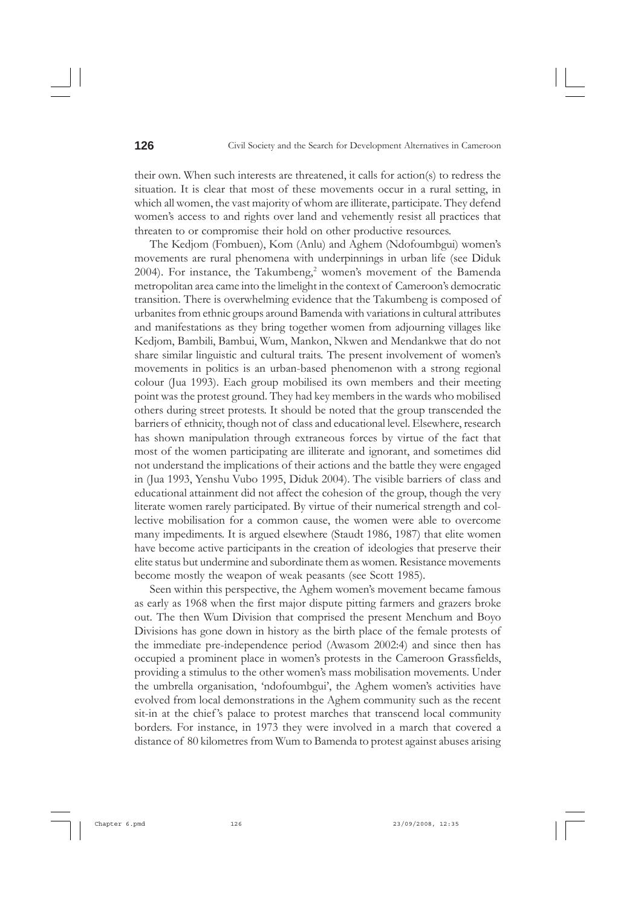their own. When such interests are threatened, it calls for action(s) to redress the situation. It is clear that most of these movements occur in a rural setting, in which all women, the vast majority of whom are illiterate, participate. They defend women's access to and rights over land and vehemently resist all practices that threaten to or compromise their hold on other productive resources.

The Kedjom (Fombuen), Kom (Anlu) and Aghem (Ndofoumbgui) women's movements are rural phenomena with underpinnings in urban life (see Diduk 2004). For instance, the Takumbeng,<sup>2</sup> women's movement of the Bamenda metropolitan area came into the limelight in the context of Cameroon's democratic transition. There is overwhelming evidence that the Takumbeng is composed of urbanites from ethnic groups around Bamenda with variations in cultural attributes and manifestations as they bring together women from adjourning villages like Kedjom, Bambili, Bambui, Wum, Mankon, Nkwen and Mendankwe that do not share similar linguistic and cultural traits. The present involvement of women's movements in politics is an urban-based phenomenon with a strong regional colour (Jua 1993). Each group mobilised its own members and their meeting point was the protest ground. They had key members in the wards who mobilised others during street protests. It should be noted that the group transcended the barriers of ethnicity, though not of class and educational level. Elsewhere, research has shown manipulation through extraneous forces by virtue of the fact that most of the women participating are illiterate and ignorant, and sometimes did not understand the implications of their actions and the battle they were engaged in (Jua 1993, Yenshu Vubo 1995, Diduk 2004). The visible barriers of class and educational attainment did not affect the cohesion of the group, though the very literate women rarely participated. By virtue of their numerical strength and collective mobilisation for a common cause, the women were able to overcome many impediments. It is argued elsewhere (Staudt 1986, 1987) that elite women have become active participants in the creation of ideologies that preserve their elite status but undermine and subordinate them as women. Resistance movements become mostly the weapon of weak peasants (see Scott 1985).

Seen within this perspective, the Aghem women's movement became famous as early as 1968 when the first major dispute pitting farmers and grazers broke out. The then Wum Division that comprised the present Menchum and Boyo Divisions has gone down in history as the birth place of the female protests of the immediate pre-independence period (Awasom 2002:4) and since then has occupied a prominent place in women's protests in the Cameroon Grassfields, providing a stimulus to the other women's mass mobilisation movements. Under the umbrella organisation, 'ndofoumbgui', the Aghem women's activities have evolved from local demonstrations in the Aghem community such as the recent sit-in at the chief 's palace to protest marches that transcend local community borders. For instance, in 1973 they were involved in a march that covered a distance of 80 kilometres from Wum to Bamenda to protest against abuses arising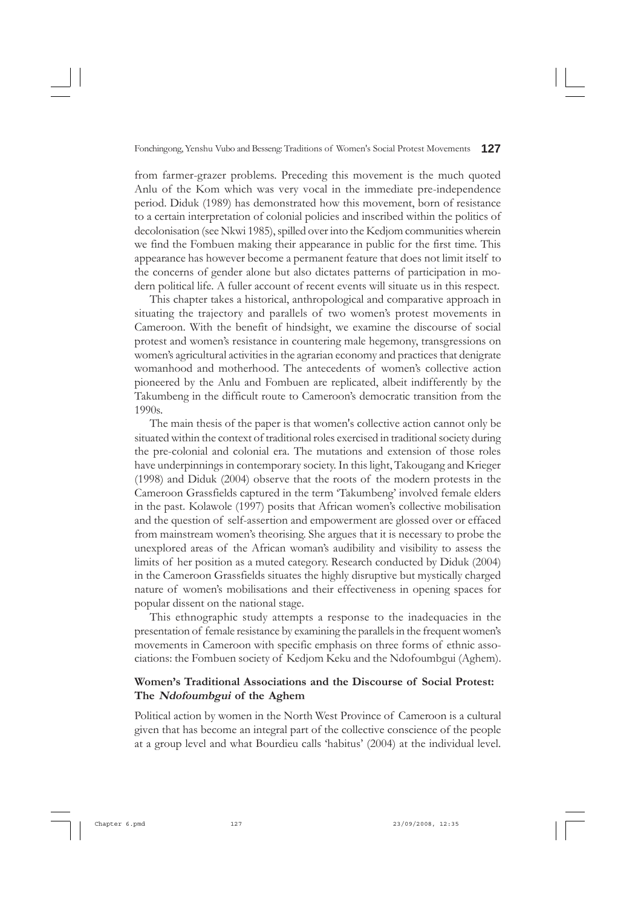from farmer-grazer problems. Preceding this movement is the much quoted Anlu of the Kom which was very vocal in the immediate pre-independence period. Diduk (1989) has demonstrated how this movement, born of resistance to a certain interpretation of colonial policies and inscribed within the politics of decolonisation (see Nkwi 1985), spilled over into the Kedjom communities wherein we find the Fombuen making their appearance in public for the first time. This appearance has however become a permanent feature that does not limit itself to the concerns of gender alone but also dictates patterns of participation in modern political life. A fuller account of recent events will situate us in this respect.

This chapter takes a historical, anthropological and comparative approach in situating the trajectory and parallels of two women's protest movements in Cameroon. With the benefit of hindsight, we examine the discourse of social protest and women's resistance in countering male hegemony, transgressions on women's agricultural activities in the agrarian economy and practices that denigrate womanhood and motherhood. The antecedents of women's collective action pioneered by the Anlu and Fombuen are replicated, albeit indifferently by the Takumbeng in the difficult route to Cameroon's democratic transition from the 1990s.

The main thesis of the paper is that women's collective action cannot only be situated within the context of traditional roles exercised in traditional society during the pre-colonial and colonial era. The mutations and extension of those roles have underpinnings in contemporary society. In this light, Takougang and Krieger (1998) and Diduk (2004) observe that the roots of the modern protests in the Cameroon Grassfields captured in the term 'Takumbeng' involved female elders in the past. Kolawole (1997) posits that African women's collective mobilisation and the question of self-assertion and empowerment are glossed over or effaced from mainstream women's theorising. She argues that it is necessary to probe the unexplored areas of the African woman's audibility and visibility to assess the limits of her position as a muted category. Research conducted by Diduk (2004) in the Cameroon Grassfields situates the highly disruptive but mystically charged nature of women's mobilisations and their effectiveness in opening spaces for popular dissent on the national stage.

This ethnographic study attempts a response to the inadequacies in the presentation of female resistance by examining the parallels in the frequent women's movements in Cameroon with specific emphasis on three forms of ethnic associations: the Fombuen society of Kedjom Keku and the Ndofoumbgui (Aghem).

### **Women's Traditional Associations and the Discourse of Social Protest: The Ndofoumbgui of the Aghem**

Political action by women in the North West Province of Cameroon is a cultural given that has become an integral part of the collective conscience of the people at a group level and what Bourdieu calls 'habitus' (2004) at the individual level.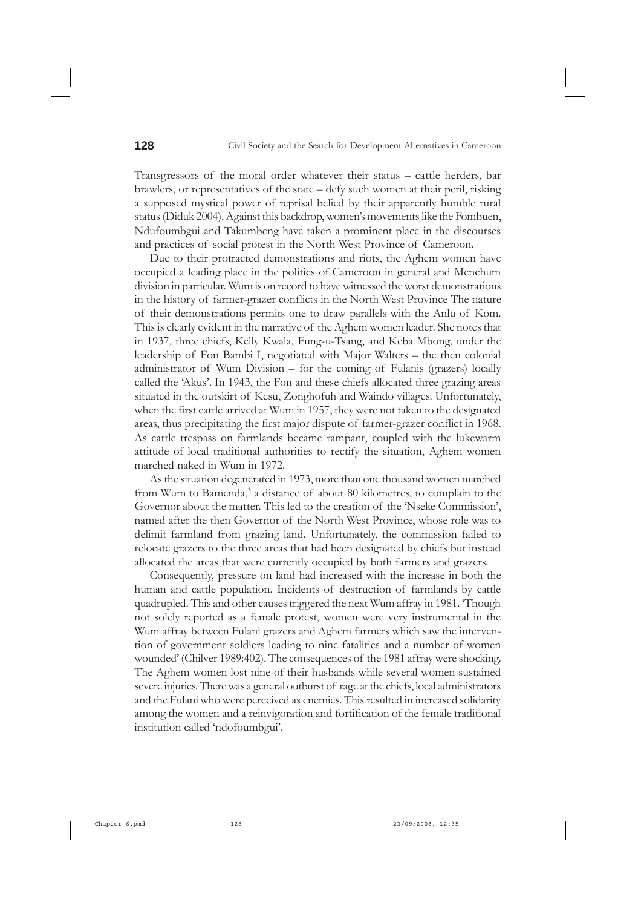Transgressors of the moral order whatever their status – cattle herders, bar brawlers, or representatives of the state – defy such women at their peril, risking a supposed mystical power of reprisal belied by their apparently humble rural status (Diduk 2004). Against this backdrop, women's movements like the Fombuen, Ndufoumbgui and Takumbeng have taken a prominent place in the discourses and practices of social protest in the North West Province of Cameroon.

Due to their protracted demonstrations and riots, the Aghem women have occupied a leading place in the politics of Cameroon in general and Menchum division in particular. Wum is on record to have witnessed the worst demonstrations in the history of farmer-grazer conflicts in the North West Province The nature of their demonstrations permits one to draw parallels with the Anlu of Kom. This is clearly evident in the narrative of the Aghem women leader. She notes that in 1937, three chiefs, Kelly Kwala, Fung-u-Tsang, and Keba Mbong, under the leadership of Fon Bambi I, negotiated with Major Walters – the then colonial administrator of Wum Division – for the coming of Fulanis (grazers) locally called the 'Akus'. In 1943, the Fon and these chiefs allocated three grazing areas situated in the outskirt of Kesu, Zonghofuh and Waindo villages. Unfortunately, when the first cattle arrived at Wum in 1957, they were not taken to the designated areas, thus precipitating the first major dispute of farmer-grazer conflict in 1968. As cattle trespass on farmlands became rampant, coupled with the lukewarm attitude of local traditional authorities to rectify the situation, Aghem women marched naked in Wum in 1972.

As the situation degenerated in 1973, more than one thousand women marched from Wum to Bamenda,<sup>3</sup> a distance of about 80 kilometres, to complain to the Governor about the matter. This led to the creation of the 'Nseke Commission', named after the then Governor of the North West Province, whose role was to delimit farmland from grazing land. Unfortunately, the commission failed to relocate grazers to the three areas that had been designated by chiefs but instead allocated the areas that were currently occupied by both farmers and grazers.

Consequently, pressure on land had increased with the increase in both the human and cattle population. Incidents of destruction of farmlands by cattle quadrupled. This and other causes triggered the next Wum affray in 1981. 'Though not solely reported as a female protest, women were very instrumental in the Wum affray between Fulani grazers and Aghem farmers which saw the intervention of government soldiers leading to nine fatalities and a number of women wounded' (Chilver 1989:402). The consequences of the 1981 affray were shocking. The Aghem women lost nine of their husbands while several women sustained severe injuries. There was a general outburst of rage at the chiefs, local administrators and the Fulani who were perceived as enemies. This resulted in increased solidarity among the women and a reinvigoration and fortification of the female traditional institution called 'ndofoumbgui'.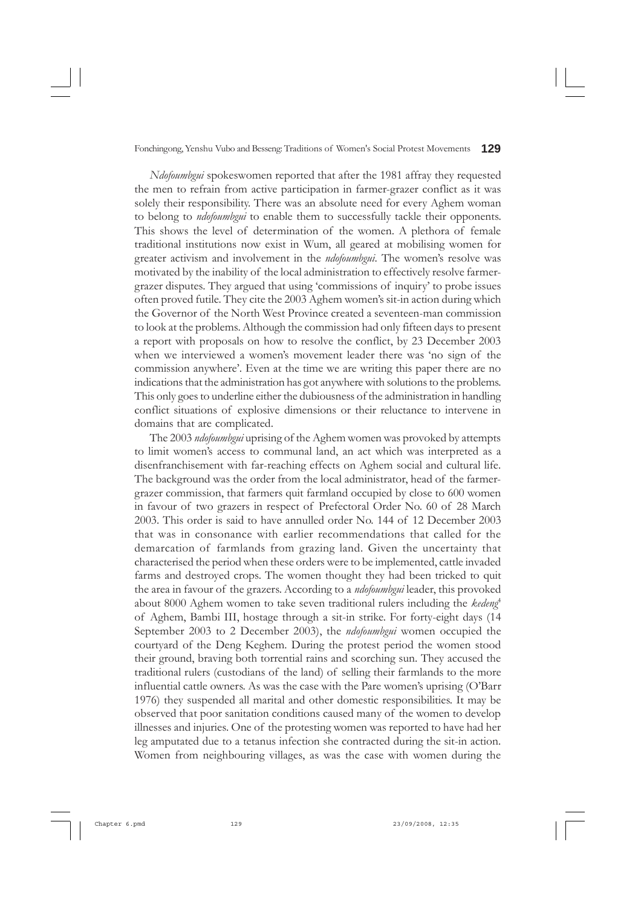*Ndofoumbgui* spokeswomen reported that after the 1981 affray they requested the men to refrain from active participation in farmer-grazer conflict as it was solely their responsibility. There was an absolute need for every Aghem woman to belong to *ndofoumbgui* to enable them to successfully tackle their opponents. This shows the level of determination of the women. A plethora of female traditional institutions now exist in Wum, all geared at mobilising women for greater activism and involvement in the *ndofoumbgui*. The women's resolve was motivated by the inability of the local administration to effectively resolve farmergrazer disputes. They argued that using 'commissions of inquiry' to probe issues often proved futile. They cite the 2003 Aghem women's sit-in action during which the Governor of the North West Province created a seventeen-man commission to look at the problems. Although the commission had only fifteen days to present a report with proposals on how to resolve the conflict, by 23 December 2003 when we interviewed a women's movement leader there was 'no sign of the commission anywhere'. Even at the time we are writing this paper there are no indications that the administration has got anywhere with solutions to the problems. This only goes to underline either the dubiousness of the administration in handling conflict situations of explosive dimensions or their reluctance to intervene in domains that are complicated.

The 2003 *ndofoumbgui* uprising of the Aghem women was provoked by attempts to limit women's access to communal land, an act which was interpreted as a disenfranchisement with far-reaching effects on Aghem social and cultural life. The background was the order from the local administrator, head of the farmergrazer commission, that farmers quit farmland occupied by close to 600 women in favour of two grazers in respect of Prefectoral Order No. 60 of 28 March 2003. This order is said to have annulled order No. 144 of 12 December 2003 that was in consonance with earlier recommendations that called for the demarcation of farmlands from grazing land. Given the uncertainty that characterised the period when these orders were to be implemented, cattle invaded farms and destroyed crops. The women thought they had been tricked to quit the area in favour of the grazers. According to a *ndofoumbgui* leader, this provoked about 8000 Aghem women to take seven traditional rulers including the *kedeng*<sup>4</sup> of Aghem, Bambi III, hostage through a sit-in strike. For forty-eight days (14 September 2003 to 2 December 2003), the *ndofoumbgui* women occupied the courtyard of the Deng Keghem. During the protest period the women stood their ground, braving both torrential rains and scorching sun. They accused the traditional rulers (custodians of the land) of selling their farmlands to the more influential cattle owners. As was the case with the Pare women's uprising (O'Barr 1976) they suspended all marital and other domestic responsibilities. It may be observed that poor sanitation conditions caused many of the women to develop illnesses and injuries. One of the protesting women was reported to have had her leg amputated due to a tetanus infection she contracted during the sit-in action. Women from neighbouring villages, as was the case with women during the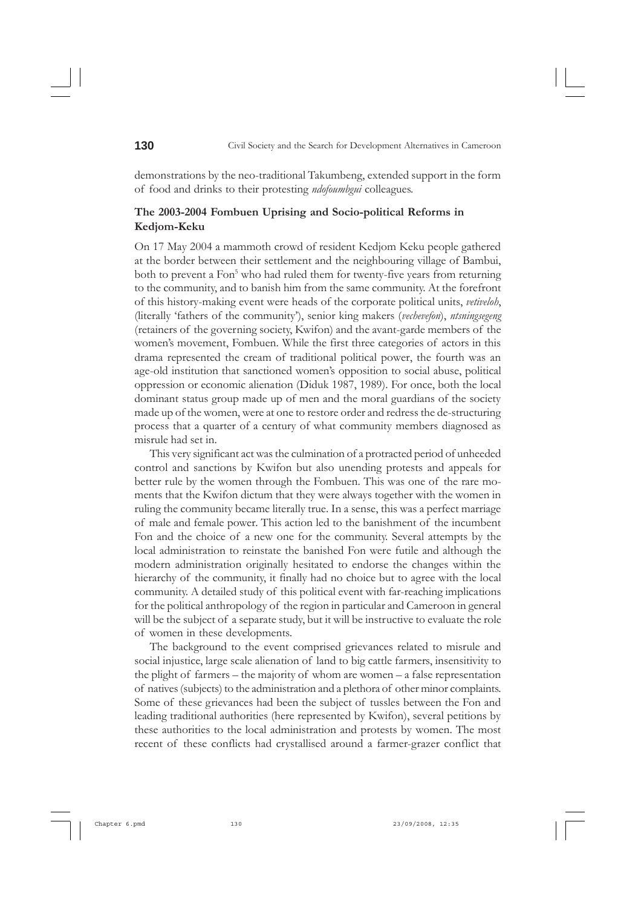demonstrations by the neo-traditional Takumbeng, extended support in the form of food and drinks to their protesting *ndofoumbgui* colleagues.

### **The 2003-2004 Fombuen Uprising and Socio-political Reforms in Kedjom-Keku**

On 17 May 2004 a mammoth crowd of resident Kedjom Keku people gathered at the border between their settlement and the neighbouring village of Bambui, both to prevent a Fon<sup>5</sup> who had ruled them for twenty-five years from returning to the community, and to banish him from the same community. At the forefront of this history-making event were heads of the corporate political units, *vetiveloh*, (literally 'fathers of the community'), senior king makers (*vechevefon*), *ntsningsegeng* (retainers of the governing society, Kwifon) and the avant-garde members of the women's movement, Fombuen. While the first three categories of actors in this drama represented the cream of traditional political power, the fourth was an age-old institution that sanctioned women's opposition to social abuse, political oppression or economic alienation (Diduk 1987, 1989). For once, both the local dominant status group made up of men and the moral guardians of the society made up of the women, were at one to restore order and redress the de-structuring process that a quarter of a century of what community members diagnosed as misrule had set in.

This very significant act was the culmination of a protracted period of unheeded control and sanctions by Kwifon but also unending protests and appeals for better rule by the women through the Fombuen. This was one of the rare moments that the Kwifon dictum that they were always together with the women in ruling the community became literally true. In a sense, this was a perfect marriage of male and female power. This action led to the banishment of the incumbent Fon and the choice of a new one for the community. Several attempts by the local administration to reinstate the banished Fon were futile and although the modern administration originally hesitated to endorse the changes within the hierarchy of the community, it finally had no choice but to agree with the local community. A detailed study of this political event with far-reaching implications for the political anthropology of the region in particular and Cameroon in general will be the subject of a separate study, but it will be instructive to evaluate the role of women in these developments.

The background to the event comprised grievances related to misrule and social injustice, large scale alienation of land to big cattle farmers, insensitivity to the plight of farmers – the majority of whom are women – a false representation of natives (subjects) to the administration and a plethora of other minor complaints. Some of these grievances had been the subject of tussles between the Fon and leading traditional authorities (here represented by Kwifon), several petitions by these authorities to the local administration and protests by women. The most recent of these conflicts had crystallised around a farmer-grazer conflict that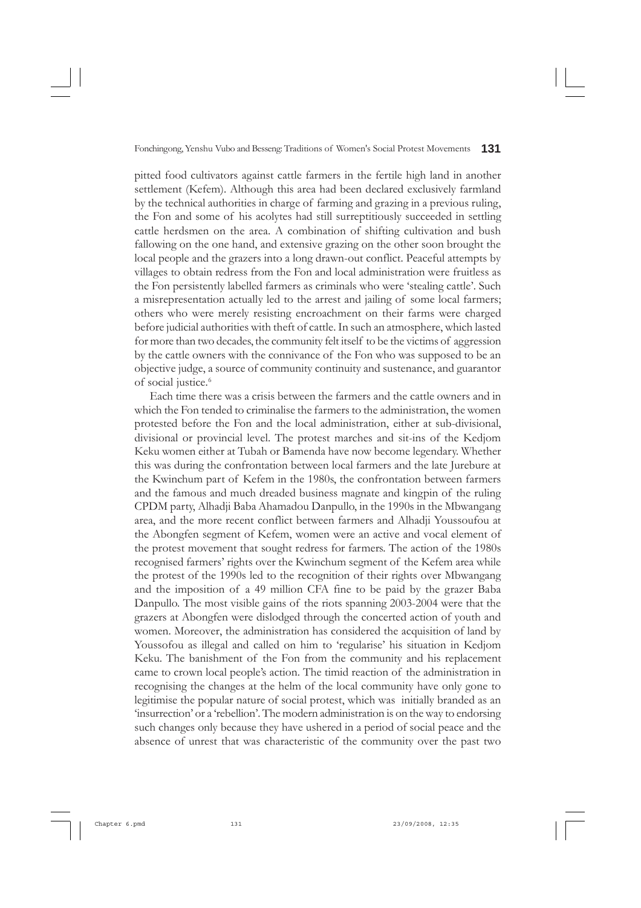pitted food cultivators against cattle farmers in the fertile high land in another settlement (Kefem). Although this area had been declared exclusively farmland by the technical authorities in charge of farming and grazing in a previous ruling, the Fon and some of his acolytes had still surreptitiously succeeded in settling cattle herdsmen on the area. A combination of shifting cultivation and bush fallowing on the one hand, and extensive grazing on the other soon brought the local people and the grazers into a long drawn-out conflict. Peaceful attempts by villages to obtain redress from the Fon and local administration were fruitless as the Fon persistently labelled farmers as criminals who were 'stealing cattle'. Such a misrepresentation actually led to the arrest and jailing of some local farmers; others who were merely resisting encroachment on their farms were charged before judicial authorities with theft of cattle. In such an atmosphere, which lasted for more than two decades, the community felt itself to be the victims of aggression by the cattle owners with the connivance of the Fon who was supposed to be an objective judge, a source of community continuity and sustenance, and guarantor of social justice.<sup>6</sup>

Each time there was a crisis between the farmers and the cattle owners and in which the Fon tended to criminalise the farmers to the administration, the women protested before the Fon and the local administration, either at sub-divisional, divisional or provincial level. The protest marches and sit-ins of the Kedjom Keku women either at Tubah or Bamenda have now become legendary. Whether this was during the confrontation between local farmers and the late Jurebure at the Kwinchum part of Kefem in the 1980s, the confrontation between farmers and the famous and much dreaded business magnate and kingpin of the ruling CPDM party, Alhadji Baba Ahamadou Danpullo, in the 1990s in the Mbwangang area, and the more recent conflict between farmers and Alhadji Youssoufou at the Abongfen segment of Kefem, women were an active and vocal element of the protest movement that sought redress for farmers. The action of the 1980s recognised farmers' rights over the Kwinchum segment of the Kefem area while the protest of the 1990s led to the recognition of their rights over Mbwangang and the imposition of a 49 million CFA fine to be paid by the grazer Baba Danpullo. The most visible gains of the riots spanning 2003-2004 were that the grazers at Abongfen were dislodged through the concerted action of youth and women. Moreover, the administration has considered the acquisition of land by Youssofou as illegal and called on him to 'regularise' his situation in Kedjom Keku. The banishment of the Fon from the community and his replacement came to crown local people's action. The timid reaction of the administration in recognising the changes at the helm of the local community have only gone to legitimise the popular nature of social protest, which was initially branded as an 'insurrection' or a 'rebellion'. The modern administration is on the way to endorsing such changes only because they have ushered in a period of social peace and the absence of unrest that was characteristic of the community over the past two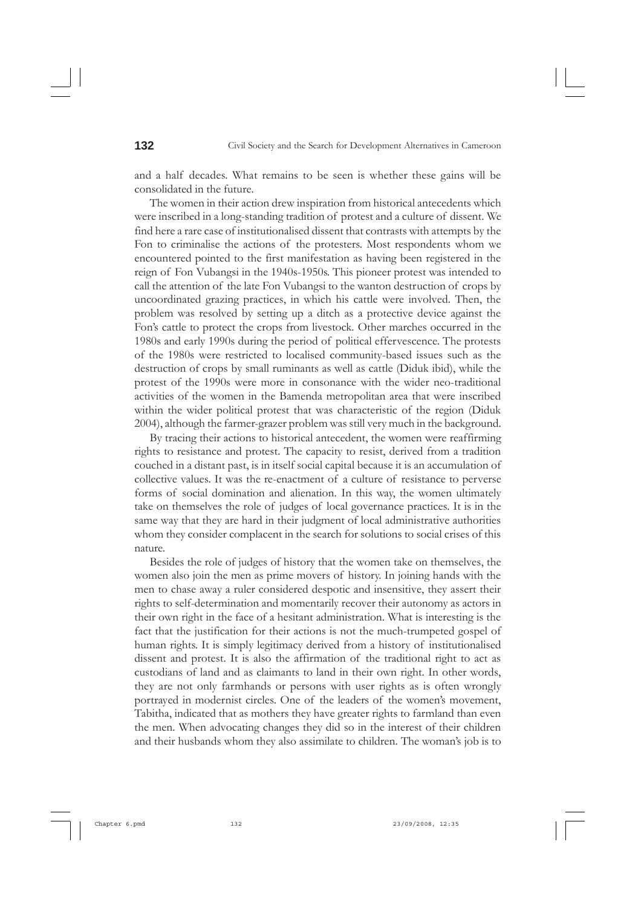and a half decades. What remains to be seen is whether these gains will be consolidated in the future.

The women in their action drew inspiration from historical antecedents which were inscribed in a long-standing tradition of protest and a culture of dissent. We find here a rare case of institutionalised dissent that contrasts with attempts by the Fon to criminalise the actions of the protesters. Most respondents whom we encountered pointed to the first manifestation as having been registered in the reign of Fon Vubangsi in the 1940s-1950s. This pioneer protest was intended to call the attention of the late Fon Vubangsi to the wanton destruction of crops by uncoordinated grazing practices, in which his cattle were involved. Then, the problem was resolved by setting up a ditch as a protective device against the Fon's cattle to protect the crops from livestock. Other marches occurred in the 1980s and early 1990s during the period of political effervescence. The protests of the 1980s were restricted to localised community-based issues such as the destruction of crops by small ruminants as well as cattle (Diduk ibid), while the protest of the 1990s were more in consonance with the wider neo-traditional activities of the women in the Bamenda metropolitan area that were inscribed within the wider political protest that was characteristic of the region (Diduk 2004), although the farmer-grazer problem was still very much in the background.

By tracing their actions to historical antecedent, the women were reaffirming rights to resistance and protest. The capacity to resist, derived from a tradition couched in a distant past, is in itself social capital because it is an accumulation of collective values. It was the re-enactment of a culture of resistance to perverse forms of social domination and alienation. In this way, the women ultimately take on themselves the role of judges of local governance practices. It is in the same way that they are hard in their judgment of local administrative authorities whom they consider complacent in the search for solutions to social crises of this nature.

Besides the role of judges of history that the women take on themselves, the women also join the men as prime movers of history. In joining hands with the men to chase away a ruler considered despotic and insensitive, they assert their rights to self-determination and momentarily recover their autonomy as actors in their own right in the face of a hesitant administration. What is interesting is the fact that the justification for their actions is not the much-trumpeted gospel of human rights. It is simply legitimacy derived from a history of institutionalised dissent and protest. It is also the affirmation of the traditional right to act as custodians of land and as claimants to land in their own right. In other words, they are not only farmhands or persons with user rights as is often wrongly portrayed in modernist circles. One of the leaders of the women's movement, Tabitha, indicated that as mothers they have greater rights to farmland than even the men. When advocating changes they did so in the interest of their children and their husbands whom they also assimilate to children. The woman's job is to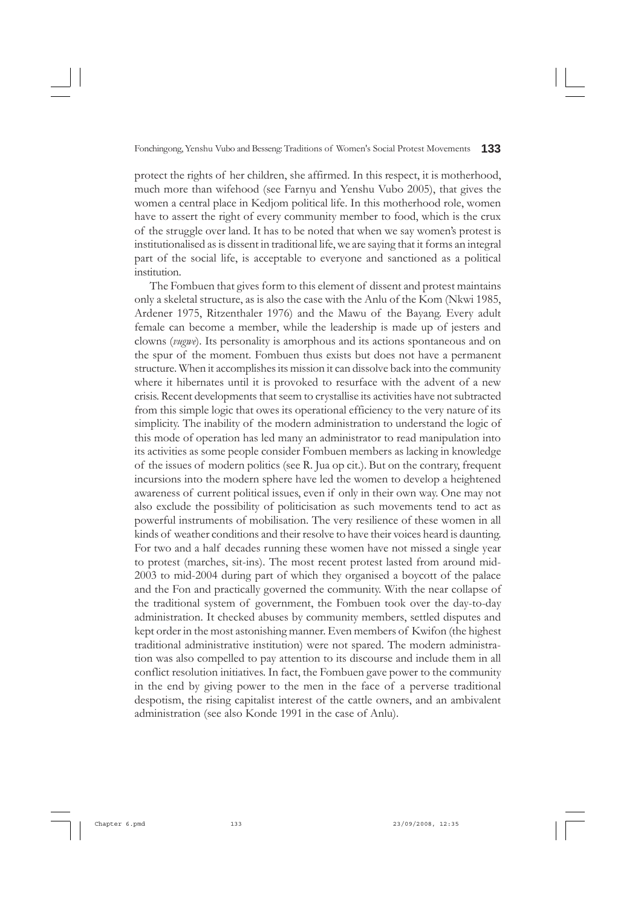protect the rights of her children, she affirmed. In this respect, it is motherhood, much more than wifehood (see Farnyu and Yenshu Vubo 2005), that gives the women a central place in Kedjom political life. In this motherhood role, women have to assert the right of every community member to food, which is the crux of the struggle over land. It has to be noted that when we say women's protest is institutionalised as is dissent in traditional life, we are saying that it forms an integral part of the social life, is acceptable to everyone and sanctioned as a political institution.

The Fombuen that gives form to this element of dissent and protest maintains only a skeletal structure, as is also the case with the Anlu of the Kom (Nkwi 1985, Ardener 1975, Ritzenthaler 1976) and the Mawu of the Bayang. Every adult female can become a member, while the leadership is made up of jesters and clowns (*vugwe*). Its personality is amorphous and its actions spontaneous and on the spur of the moment. Fombuen thus exists but does not have a permanent structure. When it accomplishes its mission it can dissolve back into the community where it hibernates until it is provoked to resurface with the advent of a new crisis. Recent developments that seem to crystallise its activities have not subtracted from this simple logic that owes its operational efficiency to the very nature of its simplicity. The inability of the modern administration to understand the logic of this mode of operation has led many an administrator to read manipulation into its activities as some people consider Fombuen members as lacking in knowledge of the issues of modern politics (see R. Jua op cit.). But on the contrary, frequent incursions into the modern sphere have led the women to develop a heightened awareness of current political issues, even if only in their own way. One may not also exclude the possibility of politicisation as such movements tend to act as powerful instruments of mobilisation. The very resilience of these women in all kinds of weather conditions and their resolve to have their voices heard is daunting. For two and a half decades running these women have not missed a single year to protest (marches, sit-ins). The most recent protest lasted from around mid-2003 to mid-2004 during part of which they organised a boycott of the palace and the Fon and practically governed the community. With the near collapse of the traditional system of government, the Fombuen took over the day-to-day administration. It checked abuses by community members, settled disputes and kept order in the most astonishing manner. Even members of Kwifon (the highest traditional administrative institution) were not spared. The modern administration was also compelled to pay attention to its discourse and include them in all conflict resolution initiatives. In fact, the Fombuen gave power to the community in the end by giving power to the men in the face of a perverse traditional despotism, the rising capitalist interest of the cattle owners, and an ambivalent administration (see also Konde 1991 in the case of Anlu).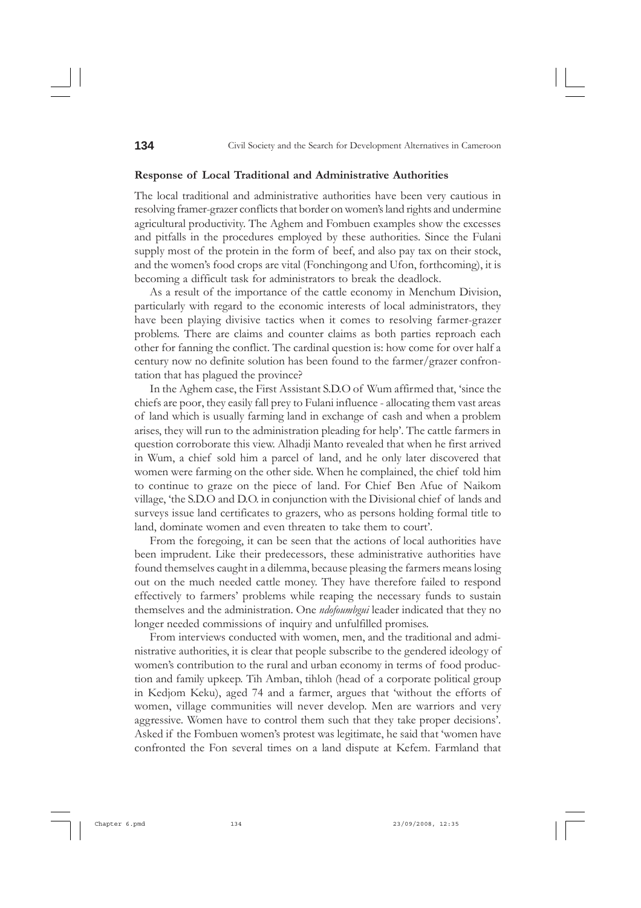#### **Response of Local Traditional and Administrative Authorities**

The local traditional and administrative authorities have been very cautious in resolving framer-grazer conflicts that border on women's land rights and undermine agricultural productivity. The Aghem and Fombuen examples show the excesses and pitfalls in the procedures employed by these authorities. Since the Fulani supply most of the protein in the form of beef, and also pay tax on their stock, and the women's food crops are vital (Fonchingong and Ufon, forthcoming), it is becoming a difficult task for administrators to break the deadlock.

As a result of the importance of the cattle economy in Menchum Division, particularly with regard to the economic interests of local administrators, they have been playing divisive tactics when it comes to resolving farmer-grazer problems. There are claims and counter claims as both parties reproach each other for fanning the conflict. The cardinal question is: how come for over half a century now no definite solution has been found to the farmer/grazer confrontation that has plagued the province?

In the Aghem case, the First Assistant S.D.O of Wum affirmed that, 'since the chiefs are poor, they easily fall prey to Fulani influence - allocating them vast areas of land which is usually farming land in exchange of cash and when a problem arises, they will run to the administration pleading for help'. The cattle farmers in question corroborate this view. Alhadji Manto revealed that when he first arrived in Wum, a chief sold him a parcel of land, and he only later discovered that women were farming on the other side. When he complained, the chief told him to continue to graze on the piece of land. For Chief Ben Afue of Naikom village, 'the S.D.O and D.O. in conjunction with the Divisional chief of lands and surveys issue land certificates to grazers, who as persons holding formal title to land, dominate women and even threaten to take them to court'.

From the foregoing, it can be seen that the actions of local authorities have been imprudent. Like their predecessors, these administrative authorities have found themselves caught in a dilemma, because pleasing the farmers means losing out on the much needed cattle money. They have therefore failed to respond effectively to farmers' problems while reaping the necessary funds to sustain themselves and the administration. One *ndofoumbgui* leader indicated that they no longer needed commissions of inquiry and unfulfilled promises.

From interviews conducted with women, men, and the traditional and administrative authorities, it is clear that people subscribe to the gendered ideology of women's contribution to the rural and urban economy in terms of food production and family upkeep. Tih Amban, tihloh (head of a corporate political group in Kedjom Keku), aged 74 and a farmer, argues that 'without the efforts of women, village communities will never develop. Men are warriors and very aggressive. Women have to control them such that they take proper decisions'. Asked if the Fombuen women's protest was legitimate, he said that 'women have confronted the Fon several times on a land dispute at Kefem. Farmland that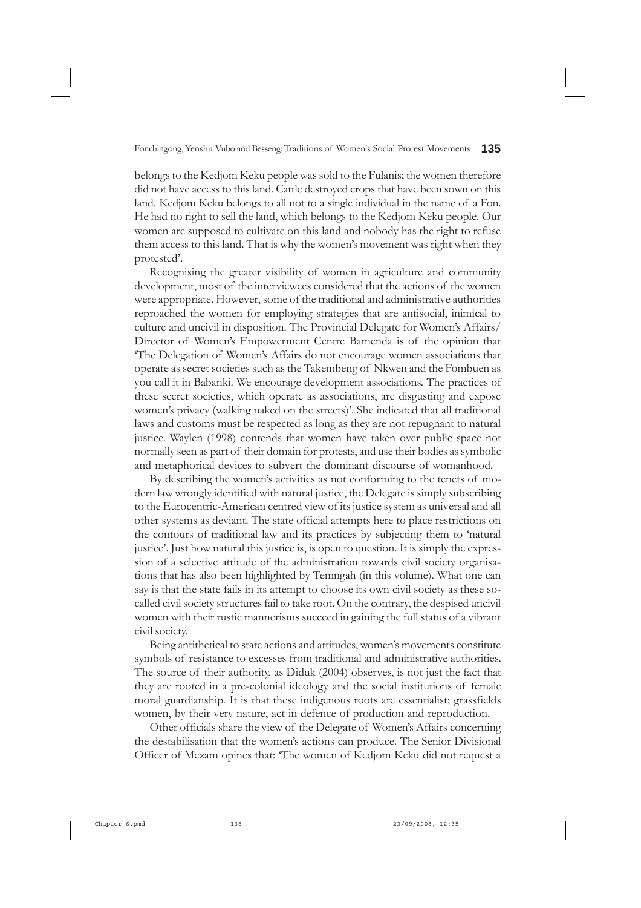belongs to the Kedjom Keku people was sold to the Fulanis; the women therefore did not have access to this land. Cattle destroyed crops that have been sown on this land. Kedjom Keku belongs to all not to a single individual in the name of a Fon. He had no right to sell the land, which belongs to the Kedjom Keku people. Our women are supposed to cultivate on this land and nobody has the right to refuse them access to this land. That is why the women's movement was right when they protested'.

Recognising the greater visibility of women in agriculture and community development, most of the interviewees considered that the actions of the women were appropriate. However, some of the traditional and administrative authorities reproached the women for employing strategies that are antisocial, inimical to culture and uncivil in disposition. The Provincial Delegate for Women's Affairs/ Director of Women's Empowerment Centre Bamenda is of the opinion that 'The Delegation of Women's Affairs do not encourage women associations that operate as secret societies such as the Takembeng of Nkwen and the Fombuen as you call it in Babanki. We encourage development associations. The practices of these secret societies, which operate as associations, are disgusting and expose women's privacy (walking naked on the streets)'. She indicated that all traditional laws and customs must be respected as long as they are not repugnant to natural justice. Waylen (1998) contends that women have taken over public space not normally seen as part of their domain for protests, and use their bodies as symbolic and metaphorical devices to subvert the dominant discourse of womanhood.

By describing the women's activities as not conforming to the tenets of modern law wrongly identified with natural justice, the Delegate is simply subscribing to the Eurocentric-American centred view of its justice system as universal and all other systems as deviant. The state official attempts here to place restrictions on the contours of traditional law and its practices by subjecting them to 'natural justice'. Just how natural this justice is, is open to question. It is simply the expression of a selective attitude of the administration towards civil society organisations that has also been highlighted by Temngah (in this volume). What one can say is that the state fails in its attempt to choose its own civil society as these socalled civil society structures fail to take root. On the contrary, the despised uncivil women with their rustic mannerisms succeed in gaining the full status of a vibrant civil society.

Being antithetical to state actions and attitudes, women's movements constitute symbols of resistance to excesses from traditional and administrative authorities. The source of their authority, as Diduk (2004) observes, is not just the fact that they are rooted in a pre-colonial ideology and the social institutions of female moral guardianship. It is that these indigenous roots are essentialist; grassfields women, by their very nature, act in defence of production and reproduction.

Other officials share the view of the Delegate of Women's Affairs concerning the destabilisation that the women's actions can produce. The Senior Divisional Officer of Mezam opines that: 'The women of Kedjom Keku did not request a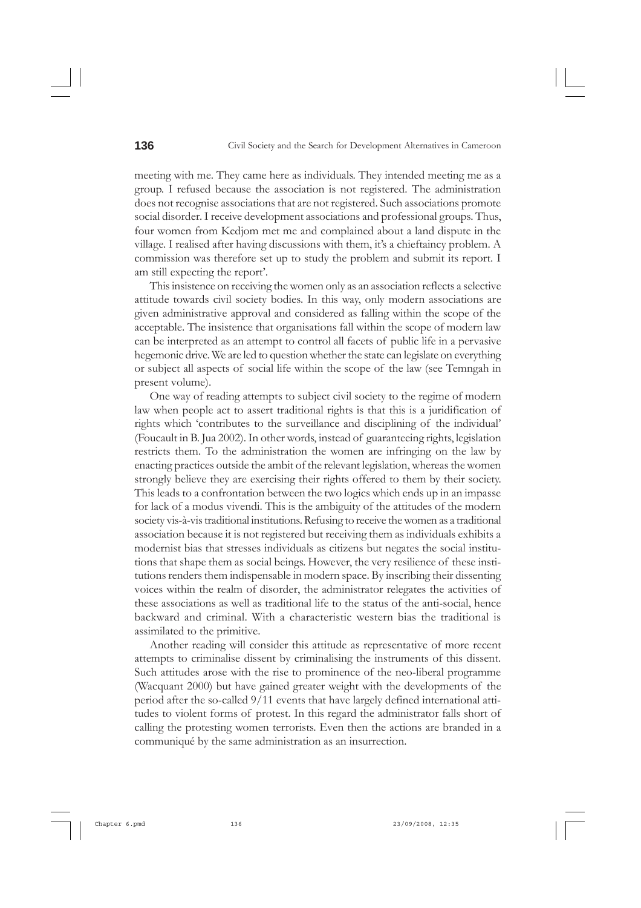meeting with me. They came here as individuals. They intended meeting me as a group. I refused because the association is not registered. The administration does not recognise associations that are not registered. Such associations promote social disorder. I receive development associations and professional groups. Thus, four women from Kedjom met me and complained about a land dispute in the village. I realised after having discussions with them, it's a chieftaincy problem. A commission was therefore set up to study the problem and submit its report. I am still expecting the report'.

This insistence on receiving the women only as an association reflects a selective attitude towards civil society bodies. In this way, only modern associations are given administrative approval and considered as falling within the scope of the acceptable. The insistence that organisations fall within the scope of modern law can be interpreted as an attempt to control all facets of public life in a pervasive hegemonic drive. We are led to question whether the state can legislate on everything or subject all aspects of social life within the scope of the law (see Temngah in present volume).

One way of reading attempts to subject civil society to the regime of modern law when people act to assert traditional rights is that this is a juridification of rights which 'contributes to the surveillance and disciplining of the individual' (Foucault in B. Jua 2002). In other words, instead of guaranteeing rights, legislation restricts them. To the administration the women are infringing on the law by enacting practices outside the ambit of the relevant legislation, whereas the women strongly believe they are exercising their rights offered to them by their society. This leads to a confrontation between the two logics which ends up in an impasse for lack of a modus vivendi. This is the ambiguity of the attitudes of the modern society vis-à-vis traditional institutions. Refusing to receive the women as a traditional association because it is not registered but receiving them as individuals exhibits a modernist bias that stresses individuals as citizens but negates the social institutions that shape them as social beings. However, the very resilience of these institutions renders them indispensable in modern space. By inscribing their dissenting voices within the realm of disorder, the administrator relegates the activities of these associations as well as traditional life to the status of the anti-social, hence backward and criminal. With a characteristic western bias the traditional is assimilated to the primitive.

Another reading will consider this attitude as representative of more recent attempts to criminalise dissent by criminalising the instruments of this dissent. Such attitudes arose with the rise to prominence of the neo-liberal programme (Wacquant 2000) but have gained greater weight with the developments of the period after the so-called 9/11 events that have largely defined international attitudes to violent forms of protest. In this regard the administrator falls short of calling the protesting women terrorists. Even then the actions are branded in a communiqué by the same administration as an insurrection.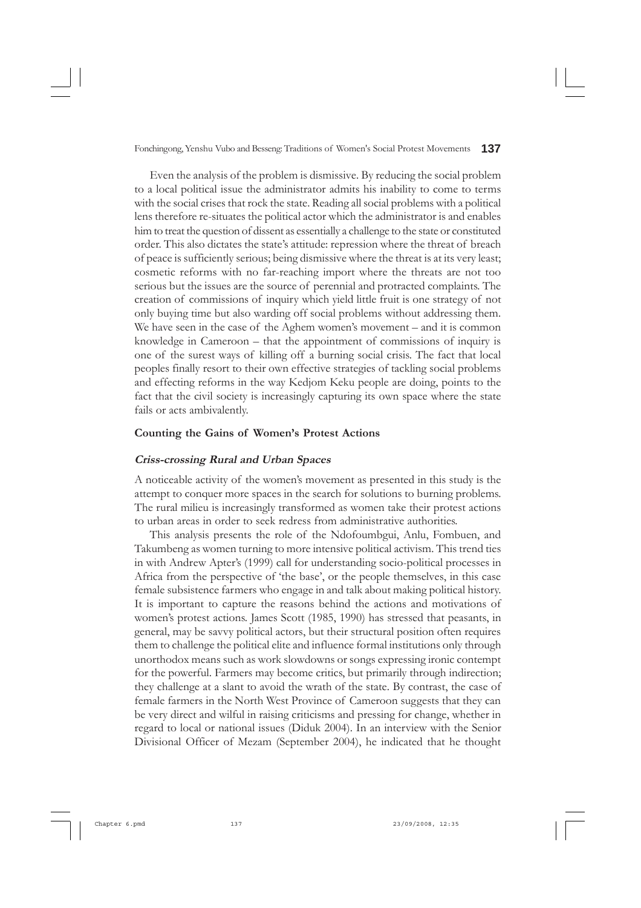Even the analysis of the problem is dismissive. By reducing the social problem to a local political issue the administrator admits his inability to come to terms with the social crises that rock the state. Reading all social problems with a political lens therefore re-situates the political actor which the administrator is and enables him to treat the question of dissent as essentially a challenge to the state or constituted order. This also dictates the state's attitude: repression where the threat of breach of peace is sufficiently serious; being dismissive where the threat is at its very least; cosmetic reforms with no far-reaching import where the threats are not too serious but the issues are the source of perennial and protracted complaints. The creation of commissions of inquiry which yield little fruit is one strategy of not only buying time but also warding off social problems without addressing them. We have seen in the case of the Aghem women's movement – and it is common knowledge in Cameroon – that the appointment of commissions of inquiry is one of the surest ways of killing off a burning social crisis. The fact that local peoples finally resort to their own effective strategies of tackling social problems and effecting reforms in the way Kedjom Keku people are doing, points to the fact that the civil society is increasingly capturing its own space where the state fails or acts ambivalently.

#### **Counting the Gains of Women's Protest Actions**

#### **Criss-crossing Rural and Urban Spaces**

A noticeable activity of the women's movement as presented in this study is the attempt to conquer more spaces in the search for solutions to burning problems. The rural milieu is increasingly transformed as women take their protest actions to urban areas in order to seek redress from administrative authorities.

This analysis presents the role of the Ndofoumbgui, Anlu, Fombuen, and Takumbeng as women turning to more intensive political activism. This trend ties in with Andrew Apter's (1999) call for understanding socio-political processes in Africa from the perspective of 'the base', or the people themselves, in this case female subsistence farmers who engage in and talk about making political history. It is important to capture the reasons behind the actions and motivations of women's protest actions. James Scott (1985, 1990) has stressed that peasants, in general, may be savvy political actors, but their structural position often requires them to challenge the political elite and influence formal institutions only through unorthodox means such as work slowdowns or songs expressing ironic contempt for the powerful. Farmers may become critics, but primarily through indirection; they challenge at a slant to avoid the wrath of the state. By contrast, the case of female farmers in the North West Province of Cameroon suggests that they can be very direct and wilful in raising criticisms and pressing for change, whether in regard to local or national issues (Diduk 2004). In an interview with the Senior Divisional Officer of Mezam (September 2004), he indicated that he thought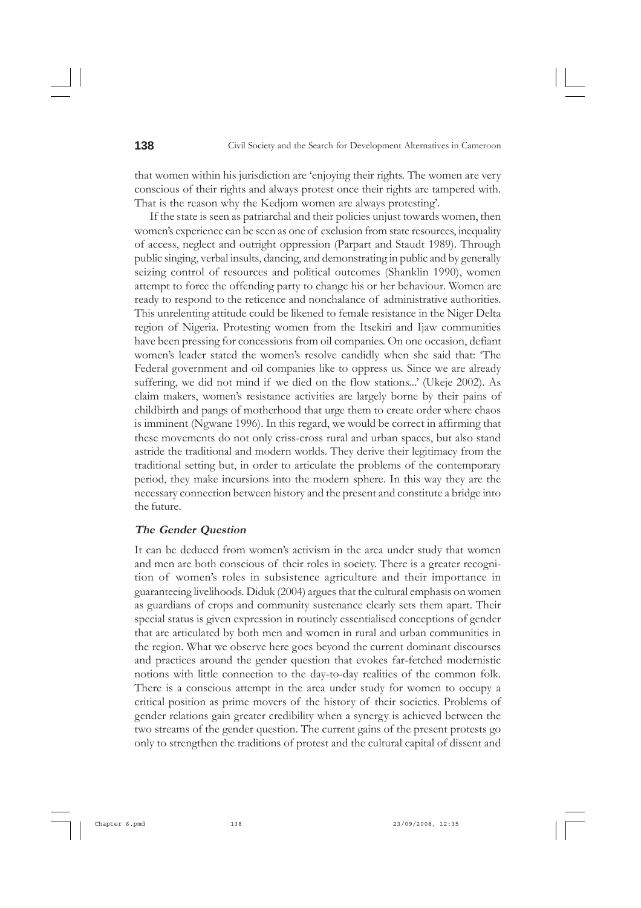that women within his jurisdiction are 'enjoying their rights. The women are very conscious of their rights and always protest once their rights are tampered with. That is the reason why the Kedjom women are always protesting'.

If the state is seen as patriarchal and their policies unjust towards women, then women's experience can be seen as one of exclusion from state resources, inequality of access, neglect and outright oppression (Parpart and Staudt 1989). Through public singing, verbal insults, dancing, and demonstrating in public and by generally seizing control of resources and political outcomes (Shanklin 1990), women attempt to force the offending party to change his or her behaviour. Women are ready to respond to the reticence and nonchalance of administrative authorities. This unrelenting attitude could be likened to female resistance in the Niger Delta region of Nigeria. Protesting women from the Itsekiri and Ijaw communities have been pressing for concessions from oil companies. On one occasion, defiant women's leader stated the women's resolve candidly when she said that: 'The Federal government and oil companies like to oppress us. Since we are already suffering, we did not mind if we died on the flow stations...' (Ukeje 2002). As claim makers, women's resistance activities are largely borne by their pains of childbirth and pangs of motherhood that urge them to create order where chaos is imminent (Ngwane 1996). In this regard, we would be correct in affirming that these movements do not only criss-cross rural and urban spaces, but also stand astride the traditional and modern worlds. They derive their legitimacy from the traditional setting but, in order to articulate the problems of the contemporary period, they make incursions into the modern sphere. In this way they are the necessary connection between history and the present and constitute a bridge into the future.

#### **The Gender Question**

It can be deduced from women's activism in the area under study that women and men are both conscious of their roles in society. There is a greater recognition of women's roles in subsistence agriculture and their importance in guaranteeing livelihoods. Diduk (2004) argues that the cultural emphasis on women as guardians of crops and community sustenance clearly sets them apart. Their special status is given expression in routinely essentialised conceptions of gender that are articulated by both men and women in rural and urban communities in the region. What we observe here goes beyond the current dominant discourses and practices around the gender question that evokes far-fetched modernistic notions with little connection to the day-to-day realities of the common folk. There is a conscious attempt in the area under study for women to occupy a critical position as prime movers of the history of their societies. Problems of gender relations gain greater credibility when a synergy is achieved between the two streams of the gender question. The current gains of the present protests go only to strengthen the traditions of protest and the cultural capital of dissent and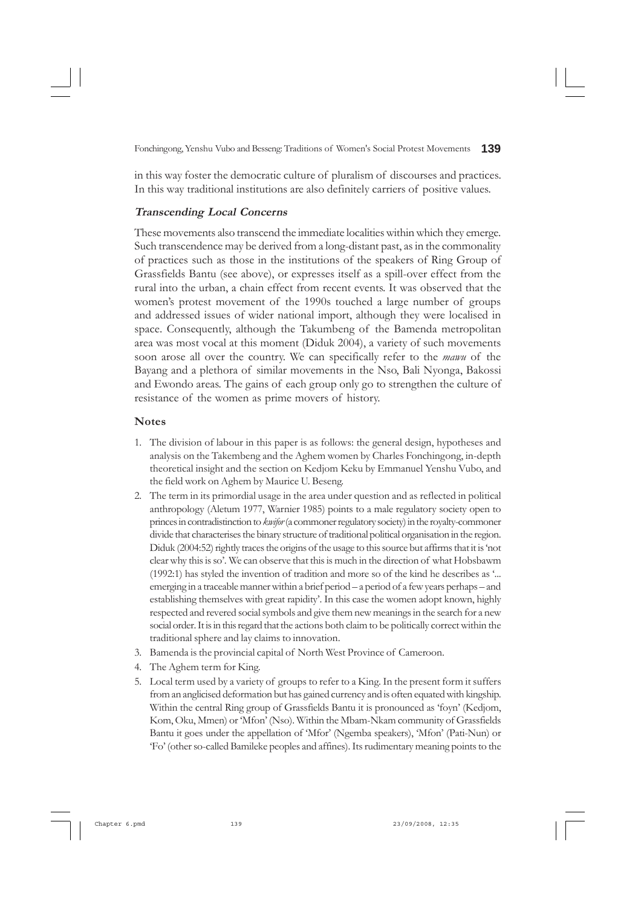in this way foster the democratic culture of pluralism of discourses and practices. In this way traditional institutions are also definitely carriers of positive values.

#### **Transcending Local Concerns**

These movements also transcend the immediate localities within which they emerge. Such transcendence may be derived from a long-distant past, as in the commonality of practices such as those in the institutions of the speakers of Ring Group of Grassfields Bantu (see above), or expresses itself as a spill-over effect from the rural into the urban, a chain effect from recent events. It was observed that the women's protest movement of the 1990s touched a large number of groups and addressed issues of wider national import, although they were localised in space. Consequently, although the Takumbeng of the Bamenda metropolitan area was most vocal at this moment (Diduk 2004), a variety of such movements soon arose all over the country. We can specifically refer to the *mawu* of the Bayang and a plethora of similar movements in the Nso, Bali Nyonga, Bakossi and Ewondo areas. The gains of each group only go to strengthen the culture of resistance of the women as prime movers of history.

#### **Notes**

- 1. The division of labour in this paper is as follows: the general design, hypotheses and analysis on the Takembeng and the Aghem women by Charles Fonchingong, in-depth theoretical insight and the section on Kedjom Keku by Emmanuel Yenshu Vubo, and the field work on Aghem by Maurice U. Beseng.
- 2. The term in its primordial usage in the area under question and as reflected in political anthropology (Aletum 1977, Warnier 1985) points to a male regulatory society open to princes in contradistinction to *kwifor* (a commoner regulatory society) in the royalty-commoner divide that characterises the binary structure of traditional political organisation in the region. Diduk (2004:52) rightly traces the origins of the usage to this source but affirms that it is 'not clear why this is so'. We can observe that this is much in the direction of what Hobsbawm (1992:1) has styled the invention of tradition and more so of the kind he describes as '... emerging in a traceable manner within a brief period – a period of a few years perhaps – and establishing themselves with great rapidity'. In this case the women adopt known, highly respected and revered social symbols and give them new meanings in the search for a new social order. It is in this regard that the actions both claim to be politically correct within the traditional sphere and lay claims to innovation.
- 3. Bamenda is the provincial capital of North West Province of Cameroon.
- 4. The Aghem term for King.
- 5. Local term used by a variety of groups to refer to a King. In the present form it suffers from an anglicised deformation but has gained currency and is often equated with kingship. Within the central Ring group of Grassfields Bantu it is pronounced as 'foyn' (Kedjom, Kom, Oku, Mmen) or 'Mfon' (Nso). Within the Mbam-Nkam community of Grassfields Bantu it goes under the appellation of 'Mfor' (Ngemba speakers), 'Mfon' (Pati-Nun) or 'Fo' (other so-called Bamileke peoples and affines). Its rudimentary meaning points to the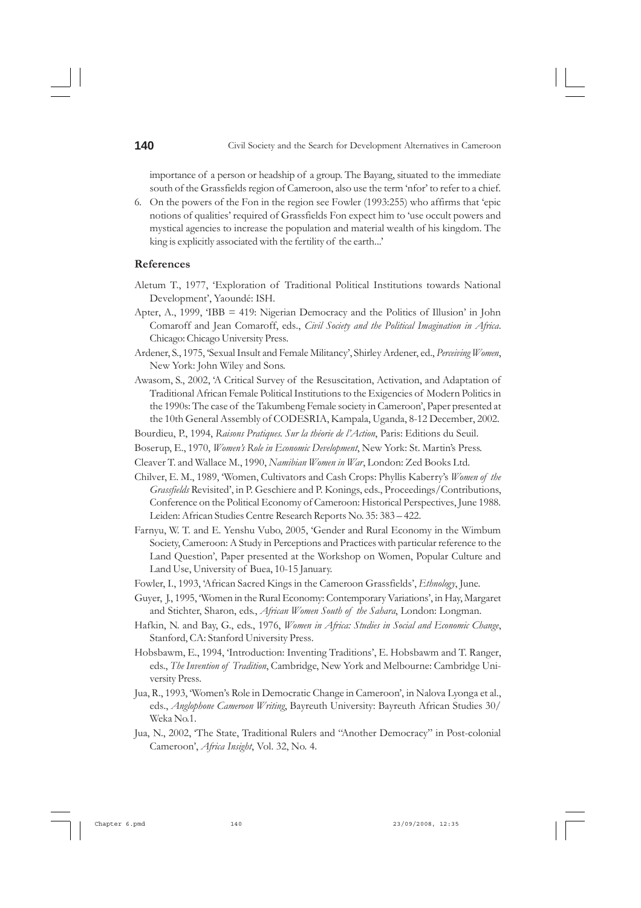importance of a person or headship of a group. The Bayang, situated to the immediate south of the Grassfields region of Cameroon, also use the term 'nfor' to refer to a chief.

6. On the powers of the Fon in the region see Fowler (1993:255) who affirms that 'epic notions of qualities' required of Grassfields Fon expect him to 'use occult powers and mystical agencies to increase the population and material wealth of his kingdom. The king is explicitly associated with the fertility of the earth...'

#### **References**

- Aletum T., 1977, 'Exploration of Traditional Political Institutions towards National Development', Yaoundé: ISH.
- Apter, A., 1999, 'IBB = 419: Nigerian Democracy and the Politics of Illusion' in John Comaroff and Jean Comaroff, eds., *Civil Society and the Political Imagination in Africa*. Chicago: Chicago University Press.
- Ardener, S., 1975, 'Sexual Insult and Female Militancy', Shirley Ardener, ed., *Perceiving Women*, New York: John Wiley and Sons.
- Awasom, S., 2002, 'A Critical Survey of the Resuscitation, Activation, and Adaptation of Traditional African Female Political Institutions to the Exigencies of Modern Politics in the 1990s: The case of the Takumbeng Female society in Cameroon', Paper presented at the 10th General Assembly of CODESRIA, Kampala, Uganda, 8-12 December, 2002.
- Bourdieu, P., 1994, *Raisons Pratiques. Sur la théorie de l'Action*, Paris: Editions du Seuil.
- Boserup, E., 1970, *Women's Role in Economic Development*, New York: St. Martin's Press.
- Cleaver T. and Wallace M., 1990, *Namibian Women in War*, London: Zed Books Ltd.
- Chilver, E. M., 1989, 'Women, Cultivators and Cash Crops: Phyllis Kaberry's *Women of the Grassfields* Revisited', in P. Geschiere and P. Konings, eds., Proceedings/Contributions, Conference on the Political Economy of Cameroon: Historical Perspectives, June 1988. Leiden: African Studies Centre Research Reports No. 35: 383 – 422.
- Farnyu, W. T. and E. Yenshu Vubo, 2005, 'Gender and Rural Economy in the Wimbum Society, Cameroon: A Study in Perceptions and Practices with particular reference to the Land Question', Paper presented at the Workshop on Women, Popular Culture and Land Use, University of Buea, 10-15 January.
- Fowler, I., 1993, 'African Sacred Kings in the Cameroon Grassfields', *Ethnology*, June.
- Guyer, J., 1995, 'Women in the Rural Economy: Contemporary Variations', in Hay, Margaret and Stichter, Sharon, eds., *African Women South of the Sahara*, London: Longman.
- Hafkin, N. and Bay, G., eds., 1976, *Women in Africa: Studies in Social and Economic Change*, Stanford, CA: Stanford University Press.
- Hobsbawm, E., 1994, 'Introduction: Inventing Traditions', E. Hobsbawm and T. Ranger, eds., *The Invention of Tradition*, Cambridge, New York and Melbourne: Cambridge University Press.
- Jua, R., 1993, 'Women's Role in Democratic Change in Cameroon', in Nalova Lyonga et al., eds., *Anglophone Cameroon Writing*, Bayreuth University: Bayreuth African Studies 30/ Weka No.1.
- Jua, N., 2002, 'The State, Traditional Rulers and "Another Democracy" in Post-colonial Cameroon', *Africa Insight*, Vol. 32, No. 4.